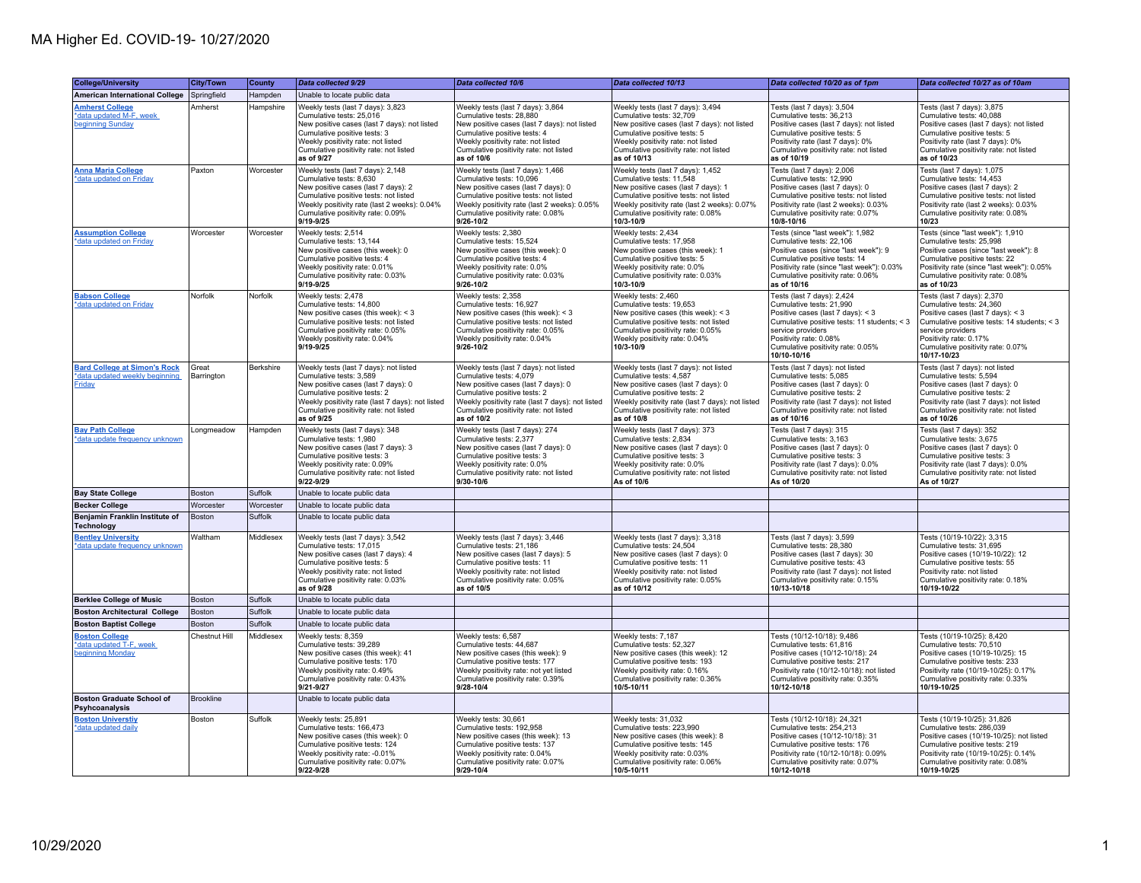| <b>College/University</b>                                                              | <b>City/Town</b>    | County    | Data collected 9/29                                                                                                                                                                                                                                  | Data collected 10/6                                                                                                                                                                                                                                  | Data collected 10/13                                                                                                                                                                                                                                 | Data collected 10/20 as of 1pm                                                                                                                                                                                                                | Data collected 10/27 as of 10am                                                                                                                                                                                                               |
|----------------------------------------------------------------------------------------|---------------------|-----------|------------------------------------------------------------------------------------------------------------------------------------------------------------------------------------------------------------------------------------------------------|------------------------------------------------------------------------------------------------------------------------------------------------------------------------------------------------------------------------------------------------------|------------------------------------------------------------------------------------------------------------------------------------------------------------------------------------------------------------------------------------------------------|-----------------------------------------------------------------------------------------------------------------------------------------------------------------------------------------------------------------------------------------------|-----------------------------------------------------------------------------------------------------------------------------------------------------------------------------------------------------------------------------------------------|
| <b>American International College</b>                                                  | Springfield         | Hampden   | Unable to locate public data                                                                                                                                                                                                                         |                                                                                                                                                                                                                                                      |                                                                                                                                                                                                                                                      |                                                                                                                                                                                                                                               |                                                                                                                                                                                                                                               |
| <b>Amherst College</b><br>*data updated M-F, week<br>beginning Sunday                  | Amherst             | Hampshire | Weekly tests (last 7 days): 3,823<br>Cumulative tests: 25,016<br>New positive cases (last 7 days): not listed<br>Cumulative positive tests: 3<br>Weekly positivity rate: not listed<br>Cumulative positivity rate: not listed<br>as of 9/27          | Weekly tests (last 7 days): 3,864<br>Cumulative tests: 28,880<br>New positive cases (last 7 days): not listed<br>Cumulative positive tests: 4<br>Weekly positivity rate: not listed<br>Cumulative positivity rate: not listed<br>as of 10/6          | Weekly tests (last 7 days): 3,494<br>Cumulative tests: 32,709<br>New positive cases (last 7 days): not listed<br>Cumulative positive tests: 5<br>Weekly positivity rate: not listed<br>Cumulative positivity rate: not listed<br>as of 10/13         | Tests (last 7 days): 3,504<br>Cumulative tests: 36,213<br>Positive cases (last 7 days): not listed<br>Cumulative positive tests: 5<br>Positivity rate (last 7 days): 0%<br>Cumulative positivity rate: not listed<br>as of 10/19              | Tests (last 7 days): 3,875<br>Cumulative tests: 40,088<br>Positive cases (last 7 days): not listed<br>Cumulative positive tests: 5<br>Positivity rate (last 7 days): 0%<br>Cumulative positivity rate: not listed<br>as of 10/23              |
| <b>Anna Maria College</b><br>*data updated on Friday                                   | Paxton              | Worcester | Weekly tests (last 7 days): 2,148<br>Cumulative tests: 8,630<br>New positive cases (last 7 days): 2<br>Cumulative positive tests: not listed<br>Weekly positivity rate (last 2 weeks): 0.04%<br>Cumulative positivity rate: 0.09%<br>9/19-9/25       | Weekly tests (last 7 days): 1,466<br>Cumulative tests: 10,096<br>New positive cases (last 7 days): 0<br>Cumulative positive tests: not listed<br>Weekly positivity rate (last 2 weeks): 0.05%<br>Cumulative positivity rate: 0.08%<br>9/26-10/2      | Weekly tests (last 7 days): 1,452<br>Cumulative tests: 11,548<br>New positive cases (last 7 days): 1<br>Cumulative positive tests: not listed<br>Weekly positivity rate (last 2 weeks): 0.07%<br>Cumulative positivity rate: 0.08%<br>10/3-10/9      | Tests (last 7 days): 2,006<br>Cumulative tests: 12,990<br>Positive cases (last 7 days): 0<br>Cumulative positive tests: not listed<br>Positivity rate (last 2 weeks): 0.03%<br>Cumulative positivity rate: 0.07%<br>10/8-10/16                | Tests (last 7 days): 1,075<br>Cumulative tests: 14,453<br>Positive cases (last 7 days): 2<br>Cumulative positive tests: not listed<br>Positivity rate (last 2 weeks): 0.03%<br>Cumulative positivity rate: 0.08%<br>10/23                     |
| <b>Assumption College</b><br>*data updated on Friday                                   | Worcester           | Worcester | Weekly tests: 2,514<br>Cumulative tests: 13,144<br>New positive cases (this week): 0<br>Cumulative positive tests: 4<br>Weekly positivity rate: 0.01%<br>Cumulative positivity rate: 0.03%<br>9/19-9/25                                              | Weekly tests: 2,380<br>Cumulative tests: 15,524<br>New positive cases (this week): 0<br>Cumulative positive tests: 4<br>Weekly positivity rate: 0.0%<br>Cumulative positivity rate: 0.03%<br>$9/26 - 10/2$                                           | Weekly tests: 2,434<br>Cumulative tests: 17,958<br>New positive cases (this week): 1<br>Cumulative positive tests: 5<br>Weekly positivity rate: 0.0%<br>Cumulative positivity rate: 0.03%<br>10/3-10/9                                               | Tests (since "last week"): 1,982<br>Cumulative tests: 22,106<br>Positive cases (since "last week"): 9<br>Cumulative positive tests: 14<br>Positivity rate (since "last week"): 0.03%<br>Cumulative positivity rate: 0.06%<br>as of 10/16      | Tests (since "last week"): 1,910<br>Cumulative tests: 25,998<br>Positive cases (since "last week"): 8<br>Cumulative positive tests: 22<br>Positivity rate (since "last week"): 0.05%<br>Cumulative positivity rate: 0.08%<br>as of 10/23      |
| <b>Babson College</b><br>*data updated on Friday                                       | Norfolk             | Norfolk   | Weekly tests: 2,478<br>Cumulative tests: 14,800<br>New positive cases (this week): < 3<br>Cumulative positive tests: not listed<br>Cumulative positivity rate: 0.05%<br>Weekly positivity rate: 0.04%<br>9/19-9/25                                   | Weekly tests: 2,358<br>Cumulative tests: 16.927<br>New positive cases (this week): $<$ 3<br>Cumulative positive tests: not listed<br>Cumulative positivity rate: 0.05%<br>Weekly positivity rate: 0.04%<br>$9/26 - 10/2$                             | Weekly tests: 2,460<br>Cumulative tests: 19.653<br>New positive cases (this week): < 3<br>Cumulative positive tests: not listed<br>Cumulative positivity rate: 0.05%<br>Weekly positivity rate: 0.04%<br>$10/3 - 10/9$                               | Tests (last 7 days): 2,424<br>Cumulative tests: 21.990<br>Positive cases (last 7 days): < 3<br>Cumulative positive tests: 11 students; < 3<br>service providers<br>Positivity rate: 0.08%<br>Cumulative positivity rate: 0.05%<br>10/10-10/16 | Tests (last 7 days): 2,370<br>Cumulative tests: 24.360<br>Positive cases (last 7 days): < 3<br>Cumulative positive tests: 14 students; < 3<br>service providers<br>Positivity rate: 0.17%<br>Cumulative positivity rate: 0.07%<br>10/17-10/23 |
| <b>Bard College at Simon's Rock</b><br>*data updated weekly beginning<br><b>Friday</b> | Great<br>Barrington | Berkshire | Weekly tests (last 7 days): not listed<br>Cumulative tests: 3,589<br>New positive cases (last 7 days): 0<br>Cumulative positive tests: 2<br>Weekly positivity rate (last 7 days): not listed<br>Cumulative positivity rate: not listed<br>as of 9/25 | Weekly tests (last 7 days): not listed<br>Cumulative tests: 4,079<br>New positive cases (last 7 days): 0<br>Cumulative positive tests: 2<br>Weekly positivity rate (last 7 days): not listed<br>Cumulative positivity rate: not listed<br>as of 10/2 | Weekly tests (last 7 days): not listed<br>Cumulative tests: 4,587<br>New positive cases (last 7 days): 0<br>Cumulative positive tests: 2<br>Weekly positivity rate (last 7 days): not listed<br>Cumulative positivity rate: not listed<br>as of 10/8 | Tests (last 7 days): not listed<br>Cumulative tests: 5,085<br>Positive cases (last 7 days): 0<br>Cumulative positive tests: 2<br>Positivity rate (last 7 days): not listed<br>Cumulative positivity rate: not listed<br>as of 10/16           | Tests (last 7 days): not listed<br>Cumulative tests: 5,594<br>Positive cases (last 7 days): 0<br>Cumulative positive tests: 2<br>Positivity rate (last 7 days): not listed<br>Cumulative positivity rate: not listed<br>as of 10/26           |
| <b>Bay Path College</b><br>*data update frequency unknown                              | Longmeadow          | Hampden   | Weekly tests (last 7 days): 348<br>Cumulative tests: 1,980<br>New positive cases (last 7 days): 3<br>Cumulative positive tests: 3<br>Weekly positivity rate: 0.09%<br>Cumulative positivity rate: not listed<br>9/22-9/29                            | Weekly tests (last 7 days): 274<br>Cumulative tests: 2,377<br>New positive cases (last 7 days): 0<br>Cumulative positive tests: 3<br>Weekly positivity rate: 0.0%<br>Cumulative positivity rate: not listed<br>9/30-10/6                             | Weekly tests (last 7 days): 373<br>Cumulative tests: 2,834<br>New positive cases (last 7 days): 0<br>Cumulative positive tests: 3<br>Weekly positivity rate: 0.0%<br>Cumulative positivity rate: not listed<br>As of 10/6                            | Tests (last 7 days): 315<br>Cumulative tests: 3,163<br>Positive cases (last 7 days): 0<br>Cumulative positive tests: 3<br>Positivity rate (last 7 days): 0.0%<br>Cumulative positivity rate: not listed<br>As of 10/20                        | Tests (last 7 days): 352<br>Cumulative tests: 3,675<br>Positive cases (last 7 days): 0<br>Cumulative positive tests: 3<br>Positivity rate (last 7 days): 0.0%<br>Cumulative positivity rate: not listed<br>As of 10/27                        |
| <b>Bay State College</b>                                                               | Boston              | Suffolk   | Unable to locate public data                                                                                                                                                                                                                         |                                                                                                                                                                                                                                                      |                                                                                                                                                                                                                                                      |                                                                                                                                                                                                                                               |                                                                                                                                                                                                                                               |
| <b>Becker College</b>                                                                  | Worcester           | Worcester | Unable to locate public data                                                                                                                                                                                                                         |                                                                                                                                                                                                                                                      |                                                                                                                                                                                                                                                      |                                                                                                                                                                                                                                               |                                                                                                                                                                                                                                               |
| Benjamin Franklin Institute of<br><b>Technology</b>                                    | Boston              | Suffolk   | Unable to locate public data                                                                                                                                                                                                                         |                                                                                                                                                                                                                                                      |                                                                                                                                                                                                                                                      |                                                                                                                                                                                                                                               |                                                                                                                                                                                                                                               |
| <b>Bentley University</b><br>*data update frequency unknown                            | Waltham             | Middlesex | Weekly tests (last 7 days): 3,542<br>Cumulative tests: 17.015<br>New positive cases (last 7 days): 4<br>Cumulative positive tests: 5<br>Weekly positivity rate: not listed<br>Cumulative positivity rate: 0.03%<br>as of 9/28                        | Weekly tests (last 7 days): 3,446<br>Cumulative tests: 21,186<br>New positive cases (last 7 days): 5<br>Cumulative positive tests: 11<br>Weekly positivity rate: not listed<br>Cumulative positivity rate: 0.05%<br>as of 10/5                       | Weekly tests (last 7 days): 3,318<br>Cumulative tests: 24.504<br>New positive cases (last 7 days): 0<br>Cumulative positive tests: 11<br>Weekly positivity rate: not listed<br>Cumulative positivity rate: 0.05%<br>as of 10/12                      | Tests (last 7 days): 3,599<br>Cumulative tests: 28.380<br>Positive cases (last 7 days): 30<br>Cumulative positive tests: 43<br>Positivity rate (last 7 days): not listed<br>Cumulative positivity rate: 0.15%<br>10/13-10/18                  | Tests (10/19-10/22): 3,315<br>Cumulative tests: 31.695<br>Positive cases (10/19-10/22): 12<br>Cumulative positive tests: 55<br>Positivity rate: not listed<br>Cumulative positivity rate: 0.18%<br>10/19-10/22                                |
| <b>Berklee College of Music</b>                                                        | Boston              | Suffolk   | Unable to locate public data                                                                                                                                                                                                                         |                                                                                                                                                                                                                                                      |                                                                                                                                                                                                                                                      |                                                                                                                                                                                                                                               |                                                                                                                                                                                                                                               |
| <b>Boston Architectural College</b>                                                    | Boston              | Suffolk   | Unable to locate public data                                                                                                                                                                                                                         |                                                                                                                                                                                                                                                      |                                                                                                                                                                                                                                                      |                                                                                                                                                                                                                                               |                                                                                                                                                                                                                                               |
| <b>Boston Baptist College</b>                                                          | Boston              | Suffolk   | Unable to locate public data                                                                                                                                                                                                                         |                                                                                                                                                                                                                                                      |                                                                                                                                                                                                                                                      |                                                                                                                                                                                                                                               |                                                                                                                                                                                                                                               |
| <b>Boston College</b><br>data updated T-F, week<br>beginning Monday                    | Chestnut Hill       | Middlesex | Weekly tests: 8.359<br>Cumulative tests: 39,289<br>New positive cases (this week): 41<br>Cumulative positive tests: 170<br>Weekly positivity rate: 0.49%<br>Cumulative positivity rate: 0.43%<br>9/21-9/27                                           | Weekly tests: 6.587<br>Cumulative tests: 44,687<br>New positive cases (this week): 9<br>Cumulative positive tests: 177<br>Weekly positivity rate: not yet listed<br>Cumulative positivity rate: 0.39%<br>$9/28 - 10/4$                               | Weekly tests: 7.187<br>Cumulative tests: 52,327<br>New positive cases (this week): 12<br>Cumulative positive tests: 193<br>Weekly positivity rate: 0.16%<br>Cumulative positivity rate: 0.36%<br>10/5-10/11                                          | Tests (10/12-10/18): 9.486<br>Cumulative tests: 61,816<br>Positive cases (10/12-10/18): 24<br>Cumulative positive tests: 217<br>Positivity rate (10/12-10/18): not listed<br>Cumulative positivity rate: 0.35%<br>10/12-10/18                 | Tests (10/19-10/25): 8.420<br>Cumulative tests: 70,510<br>Positive cases (10/19-10/25): 15<br>Cumulative positive tests: 233<br>Positivity rate (10/19-10/25): 0.17%<br>Cumulative positivity rate: 0.33%<br>10/19-10/25                      |
| <b>Boston Graduate School of</b><br>Psyhcoanalysis                                     | <b>Brookline</b>    |           | Unable to locate public data                                                                                                                                                                                                                         |                                                                                                                                                                                                                                                      |                                                                                                                                                                                                                                                      |                                                                                                                                                                                                                                               |                                                                                                                                                                                                                                               |
| <b>Boston Universtiv</b><br>*data updated daily                                        | Boston              | Suffolk   | Weekly tests: 25,891<br>Cumulative tests: 166.473<br>New positive cases (this week): 0<br>Cumulative positive tests: 124<br>Weekly positivity rate: -0.01%<br>Cumulative positivity rate: 0.07%<br>9/22-9/28                                         | Weekly tests: 30,661<br>Cumulative tests: 192.958<br>New positive cases (this week): 13<br>Cumulative positive tests: 137<br>Weekly positivity rate: 0.04%<br>Cumulative positivity rate: 0.07%<br>9/29-10/4                                         | Weekly tests: 31,032<br>Cumulative tests: 223.990<br>New positive cases (this week): 8<br>Cumulative positive tests: 145<br>Weekly positivity rate: 0.03%<br>Cumulative positivity rate: 0.06%<br>10/5-10/11                                         | Tests (10/12-10/18): 24,321<br>Cumulative tests: 254.213<br>Positive cases (10/12-10/18): 31<br>Cumulative positive tests: 176<br>Positivity rate (10/12-10/18): 0.09%<br>Cumulative positivity rate: 0.07%<br>10/12-10/18                    | Tests (10/19-10/25): 31,826<br>Cumulative tests: 286.039<br>Positive cases (10/19-10/25): not listed<br>Cumulative positive tests: 219<br>Positivity rate (10/19-10/25): 0.14%<br>Cumulative positivity rate: 0.08%<br>10/19-10/25            |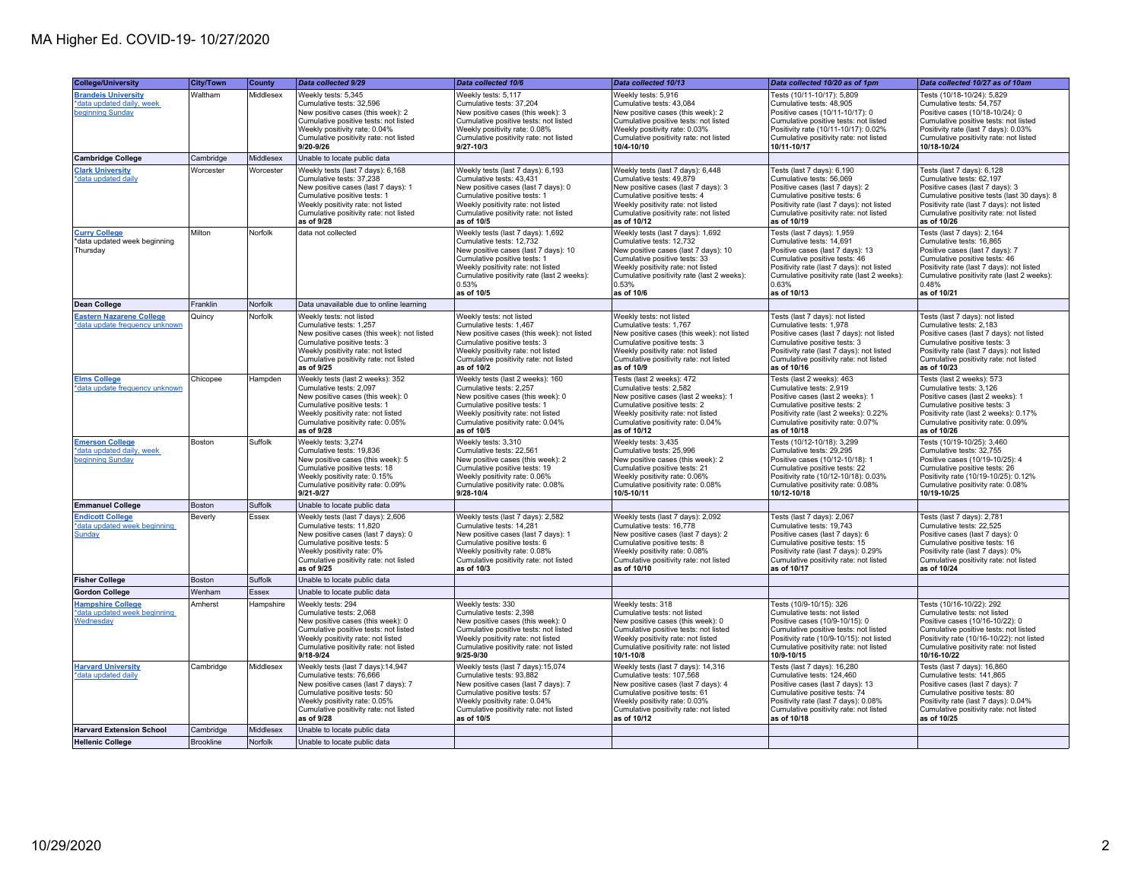| <b>College/University</b><br><b>Brandeis University</b><br>*data updated daily, week<br>beginning Sunday | <b>City/Town</b><br>Waltham | County<br>Middlesex | Data collected 9/29<br>Weekly tests: 5,345<br>Cumulative tests: 32,596<br>New positive cases (this week): 2<br>Cumulative positive tests: not listed<br>Weekly positivity rate: 0.04%<br>Cumulative positivity rate: not listed    | Data collected 10/6<br>Weekly tests: 5,117<br>Cumulative tests: 37,204<br>New positive cases (this week): 3<br>Cumulative positive tests: not listed<br>Weekly positivity rate: 0.08%<br>Cumulative positivity rate: not listed                  | Data collected 10/13<br>Weekly tests: 5,916<br>Cumulative tests: 43,084<br>New positive cases (this week): 2<br>Cumulative positive tests: not listed<br>Weekly positivity rate: 0.03%<br>Cumulative positivity rate: not listed                  | Data collected 10/20 as of 1pm<br>Tests (10/11-10/17): 5,809<br>Cumulative tests: 48,905<br>Positive cases (10/11-10/17): 0<br>Cumulative positive tests: not listed<br>Positivity rate (10/11-10/17): 0.02%<br>Cumulative positivity rate: not listed | Data collected 10/27 as of 10am<br>Tests (10/18-10/24): 5,829<br>Cumulative tests: 54,757<br>Positive cases (10/18-10/24): 0<br>Cumulative positive tests: not listed<br>Positivity rate (last 7 days): 0.03%<br>Cumulative positivity rate: not listed |
|----------------------------------------------------------------------------------------------------------|-----------------------------|---------------------|------------------------------------------------------------------------------------------------------------------------------------------------------------------------------------------------------------------------------------|--------------------------------------------------------------------------------------------------------------------------------------------------------------------------------------------------------------------------------------------------|---------------------------------------------------------------------------------------------------------------------------------------------------------------------------------------------------------------------------------------------------|--------------------------------------------------------------------------------------------------------------------------------------------------------------------------------------------------------------------------------------------------------|---------------------------------------------------------------------------------------------------------------------------------------------------------------------------------------------------------------------------------------------------------|
|                                                                                                          |                             |                     | 9/20-9/26                                                                                                                                                                                                                          | $9/27 - 10/3$                                                                                                                                                                                                                                    | 10/4-10/10                                                                                                                                                                                                                                        | 10/11-10/17                                                                                                                                                                                                                                            | 10/18-10/24                                                                                                                                                                                                                                             |
| <b>Cambridge College</b>                                                                                 | Cambridge                   | Middlesex           | Unable to locate public data                                                                                                                                                                                                       |                                                                                                                                                                                                                                                  |                                                                                                                                                                                                                                                   |                                                                                                                                                                                                                                                        |                                                                                                                                                                                                                                                         |
| <b>Clark University</b><br>*data updated daily                                                           | Worcester                   | Worcester           | Weekly tests (last 7 days): 6,168<br>Cumulative tests: 37,238<br>New positive cases (last 7 days): 1<br>Cumulative positive tests: 1<br>Weekly positivity rate: not listed<br>Cumulative positivity rate: not listed<br>as of 9/28 | Weekly tests (last 7 days): 6,193<br>Cumulative tests: 43,431<br>New positive cases (last 7 days): 0<br>Cumulative positive tests: 1<br>Weekly positivity rate: not listed<br>Cumulative positivity rate: not listed<br>as of 10/5               | Weekly tests (last 7 days): 6,448<br>Cumulative tests: 49,879<br>New positive cases (last 7 days): 3<br>Cumulative positive tests: 4<br>Weekly positivity rate: not listed<br>Cumulative positivity rate: not listed<br>as of 10/12               | Tests (last 7 days): 6,190<br>Cumulative tests: 56,069<br>Positive cases (last 7 days): 2<br>Cumulative positive tests: 6<br>Positivity rate (last 7 days): not listed<br>Cumulative positivity rate: not listed<br>as of 10/19                        | Tests (last 7 days): 6,128<br>Cumulative tests: 62,197<br>Positive cases (last 7 days): 3<br>Cumulative positive tests (last 30 days): 8<br>Positivity rate (last 7 days): not listed<br>Cumulative positivity rate: not listed<br>as of 10/26          |
| <b>Curry College</b><br>*data updated week beginning<br>Thursday                                         | Milton                      | Norfolk             | data not collected                                                                                                                                                                                                                 | Weekly tests (last 7 days): 1,692<br>Cumulative tests: 12,732<br>New positive cases (last 7 days): 10<br>Cumulative positive tests: 1<br>Weekly positivity rate: not listed<br>Cumulative positivity rate (last 2 weeks):<br>0.53%<br>as of 10/5 | Weekly tests (last 7 days): 1,692<br>Cumulative tests: 12,732<br>New positive cases (last 7 days): 10<br>Cumulative positive tests: 33<br>Weekly positivity rate: not listed<br>Cumulative positivity rate (last 2 weeks):<br>0.53%<br>as of 10/6 | Tests (last 7 days): 1,959<br>Cumulative tests: 14,691<br>Positive cases (last 7 days): 13<br>Cumulative positive tests: 46<br>Positivity rate (last 7 days): not listed<br>Cumulative positivity rate (last 2 weeks):<br>0.63%<br>as of 10/13         | Tests (last 7 days): 2,164<br>Cumulative tests: 16,865<br>Positive cases (last 7 days): 7<br>Cumulative positive tests: 46<br>Positivity rate (last 7 days): not listed<br>Cumulative positivity rate (last 2 weeks):<br>0.48%<br>as of 10/21           |
| <b>Dean College</b>                                                                                      | Franklin                    | Norfolk             | Data unavailable due to online learning                                                                                                                                                                                            |                                                                                                                                                                                                                                                  |                                                                                                                                                                                                                                                   |                                                                                                                                                                                                                                                        |                                                                                                                                                                                                                                                         |
| <b>Eastern Nazarene College</b><br>*data update frequency unknown                                        | Quincy                      | Norfolk             | Weekly tests: not listed<br>Cumulative tests: 1,257<br>New positive cases (this week): not listed<br>Cumulative positive tests: 3<br>Weekly positivity rate: not listed<br>Cumulative positivity rate: not listed<br>as of 9/25    | Weekly tests: not listed<br>Cumulative tests: 1,467<br>New positive cases (this week): not listed<br>Cumulative positive tests: 3<br>Weekly positivity rate: not listed<br>Cumulative positivity rate: not listed<br>as of 10/2                  | Weekly tests: not listed<br>Cumulative tests: 1,767<br>New positive cases (this week): not listed<br>Cumulative positive tests: 3<br>Weekly positivity rate: not listed<br>Cumulative positivity rate: not listed<br>as of 10/9                   | Tests (last 7 days): not listed<br>Cumulative tests: 1,978<br>Positive cases (last 7 days): not listed<br>Cumulative positive tests: 3<br>Positivity rate (last 7 days): not listed<br>Cumulative positivity rate: not listed<br>as of 10/16           | Tests (last 7 days): not listed<br>Cumulative tests: 2,183<br>Positive cases (last 7 days): not listed<br>Cumulative positive tests: 3<br>Positivity rate (last 7 days): not listed<br>Cumulative positivity rate: not listed<br>as of 10/23            |
| <b>Elms College</b><br>*data update frequency unknown                                                    | Chicopee                    | Hampden             | Weekly tests (last 2 weeks): 352<br>Cumulative tests: 2,097<br>New positive cases (this week): 0<br>Cumulative positive tests: 1<br>Weekly positivity rate: not listed<br>Cumulative positivity rate: 0.05%<br>as of 9/28          | Weekly tests (last 2 weeks): 160<br>Cumulative tests: 2.257<br>New positive cases (this week): 0<br>Cumulative positive tests: 1<br>Weekly positivity rate: not listed<br>Cumulative positivity rate: 0.04%<br>as of 10/5                        | Tests (last 2 weeks): 472<br>Cumulative tests: 2,582<br>New positive cases (last 2 weeks): 1<br>Cumulative positive tests: 2<br>Weekly positivity rate: not listed<br>Cumulative positivity rate: 0.04%<br>as of 10/12                            | Tests (last 2 weeks): 463<br>Cumulative tests: 2.919<br>Positive cases (last 2 weeks): 1<br>Cumulative positive tests: 2<br>Positivity rate (last 2 weeks): 0.22%<br>Cumulative positivity rate: 0.07%<br>as of 10/18                                  | Tests (last 2 weeks): 573<br>Cumulative tests: 3,126<br>Positive cases (last 2 weeks): 1<br>Cumulative positive tests: 3<br>Positivity rate (last 2 weeks): 0.17%<br>Cumulative positivity rate: 0.09%<br>as of 10/26                                   |
| <b>Emerson College</b><br>*data updated daily, week<br>beginning Sunday                                  | Boston                      | Suffolk             | Weekly tests: 3,274<br>Cumulative tests: 19,836<br>New positive cases (this week): 5<br>Cumulative positive tests: 18<br>Weekly positivity rate: 0.15%<br>Cumulative positivity rate: 0.09%<br>9/21-9/27                           | Weekly tests: 3,310<br>Cumulative tests: 22,561<br>New positive cases (this week): 2<br>Cumulative positive tests: 19<br>Weekly positivity rate: 0.06%<br>Cumulative positivity rate: 0.08%<br>$9/28 - 10/4$                                     | Weekly tests: 3,435<br>Cumulative tests: 25,996<br>New positive cases (this week): 2<br>Cumulative positive tests: 21<br>Weekly positivity rate: 0.06%<br>Cumulative positivity rate: 0.08%<br>10/5-10/11                                         | Tests (10/12-10/18): 3,299<br>Cumulative tests: 29,295<br>Positive cases (10/12-10/18): 1<br>Cumulative positive tests: 22<br>Positivity rate (10/12-10/18): 0.03%<br>Cumulative positivity rate: 0.08%<br>10/12-10/18                                 | Tests (10/19-10/25): 3,460<br>Cumulative tests: 32,755<br>Positive cases (10/19-10/25): 4<br>Cumulative positive tests: 26<br>Positivity rate (10/19-10/25): 0.12%<br>Cumulative positivity rate: 0.08%<br>10/19-10/25                                  |
| <b>Emmanuel College</b>                                                                                  | Boston                      | Suffolk             | Unable to locate public data                                                                                                                                                                                                       |                                                                                                                                                                                                                                                  |                                                                                                                                                                                                                                                   |                                                                                                                                                                                                                                                        |                                                                                                                                                                                                                                                         |
| <b>Endicott College</b><br>*data updated week beginning<br>Sunday                                        | Beverly                     | Essex               | Weekly tests (last 7 days): 2,606<br>Cumulative tests: 11,820<br>New positive cases (last 7 days): 0<br>Cumulative positive tests: 5<br>Weekly positivity rate: 0%<br>Cumulative positivity rate: not listed<br>as of 9/25         | Weekly tests (last 7 days): 2,582<br>Cumulative tests: 14,281<br>New positive cases (last 7 days): 1<br>Cumulative positive tests: 6<br>Weekly positivity rate: 0.08%<br>Cumulative positivity rate: not listed<br>as of 10/3                    | Weekly tests (last 7 days): 2,092<br>Cumulative tests: 16,778<br>New positive cases (last 7 days): 2<br>Cumulative positive tests: 8<br>Weekly positivity rate: 0.08%<br>Cumulative positivity rate: not listed<br>as of 10/10                    | Tests (last 7 days): 2,067<br>Cumulative tests: 19,743<br>Positive cases (last 7 days): 6<br>Cumulative positive tests: 15<br>Positivity rate (last 7 days): 0.29%<br>Cumulative positivity rate: not listed<br>as of 10/17                            | Tests (last 7 days): 2,781<br>Cumulative tests: 22,525<br>Positive cases (last 7 days): 0<br>Cumulative positive tests: 16<br>Positivity rate (last 7 days): 0%<br>Cumulative positivity rate: not listed<br>as of 10/24                                |
| <b>Fisher College</b>                                                                                    | Boston                      | Suffolk             | Unable to locate public data                                                                                                                                                                                                       |                                                                                                                                                                                                                                                  |                                                                                                                                                                                                                                                   |                                                                                                                                                                                                                                                        |                                                                                                                                                                                                                                                         |
| <b>Gordon College</b>                                                                                    | Wenham                      | Essex               | Unable to locate public data                                                                                                                                                                                                       |                                                                                                                                                                                                                                                  |                                                                                                                                                                                                                                                   |                                                                                                                                                                                                                                                        |                                                                                                                                                                                                                                                         |
| <b>Hampshire College</b><br>*data updated week beginning<br>Wednesday                                    | Amherst                     | Hampshire           | Weekly tests: 294<br>Cumulative tests: 2.068<br>New positive cases (this week): 0<br>Cumulative positive tests: not listed<br>Weekly positivity rate: not listed<br>Cumulative positivity rate: not listed<br>9/18-9/24            | Weekly tests: 330<br>Cumulative tests: 2.398<br>New positive cases (this week): 0<br>Cumulative positive tests: not listed<br>Weekly positivity rate: not listed<br>Cumulative positivity rate: not listed<br>9/25-9/30                          | Weekly tests: 318<br>Cumulative tests: not listed<br>New positive cases (this week): 0<br>Cumulative positive tests: not listed<br>Weekly positivity rate: not listed<br>Cumulative positivity rate: not listed<br>10/1-10/8                      | Tests (10/9-10/15): 326<br>Cumulative tests: not listed<br>Positive cases (10/9-10/15): 0<br>Cumulative positive tests: not listed<br>Positivity rate (10/9-10/15): not listed<br>Cumulative positivity rate: not listed<br>10/9-10/15                 | Tests (10/16-10/22): 292<br>Cumulative tests: not listed<br>Positive cases (10/16-10/22): 0<br>Cumulative positive tests: not listed<br>Positivity rate (10/16-10/22): not listed<br>Cumulative positivity rate: not listed<br>10/16-10/22              |
| <b>Harvard University</b><br>*data updated daily                                                         | Cambridge                   | Middlesex           | Weekly tests (last 7 days):14,947<br>Cumulative tests: 76.666<br>New positive cases (last 7 days): 7<br>Cumulative positive tests: 50<br>Weekly positivity rate: 0.05%<br>Cumulative positivity rate: not listed<br>as of 9/28     | Weekly tests (last 7 days): 15,074<br>Cumulative tests: 93.882<br>New positive cases (last 7 days): 7<br>Cumulative positive tests: 57<br>Weekly positivity rate: 0.04%<br>Cumulative positivity rate: not listed<br>as of 10/5                  | Weekly tests (last 7 days): 14,316<br>Cumulative tests: 107.568<br>New positive cases (last 7 days): 4<br>Cumulative positive tests: 61<br>Weekly positivity rate: 0.03%<br>Cumulative positivity rate: not listed<br>as of 10/12                 | Tests (last 7 days): 16,280<br>Cumulative tests: 124.460<br>Positive cases (last 7 days): 13<br>Cumulative positive tests: 74<br>Positivity rate (last 7 days): 0.08%<br>Cumulative positivity rate: not listed<br>as of 10/18                         | Tests (last 7 days): 16,860<br>Cumulative tests: 141.865<br>Positive cases (last 7 days): 7<br>Cumulative positive tests: 80<br>Positivity rate (last 7 days): 0.04%<br>Cumulative positivity rate: not listed<br>as of 10/25                           |
| <b>Harvard Extension School</b>                                                                          | Cambridge                   | Middlesex           | Unable to locate public data                                                                                                                                                                                                       |                                                                                                                                                                                                                                                  |                                                                                                                                                                                                                                                   |                                                                                                                                                                                                                                                        |                                                                                                                                                                                                                                                         |
| <b>Hellenic College</b>                                                                                  | <b>Brookline</b>            | Norfolk             | Unable to locate public data                                                                                                                                                                                                       |                                                                                                                                                                                                                                                  |                                                                                                                                                                                                                                                   |                                                                                                                                                                                                                                                        |                                                                                                                                                                                                                                                         |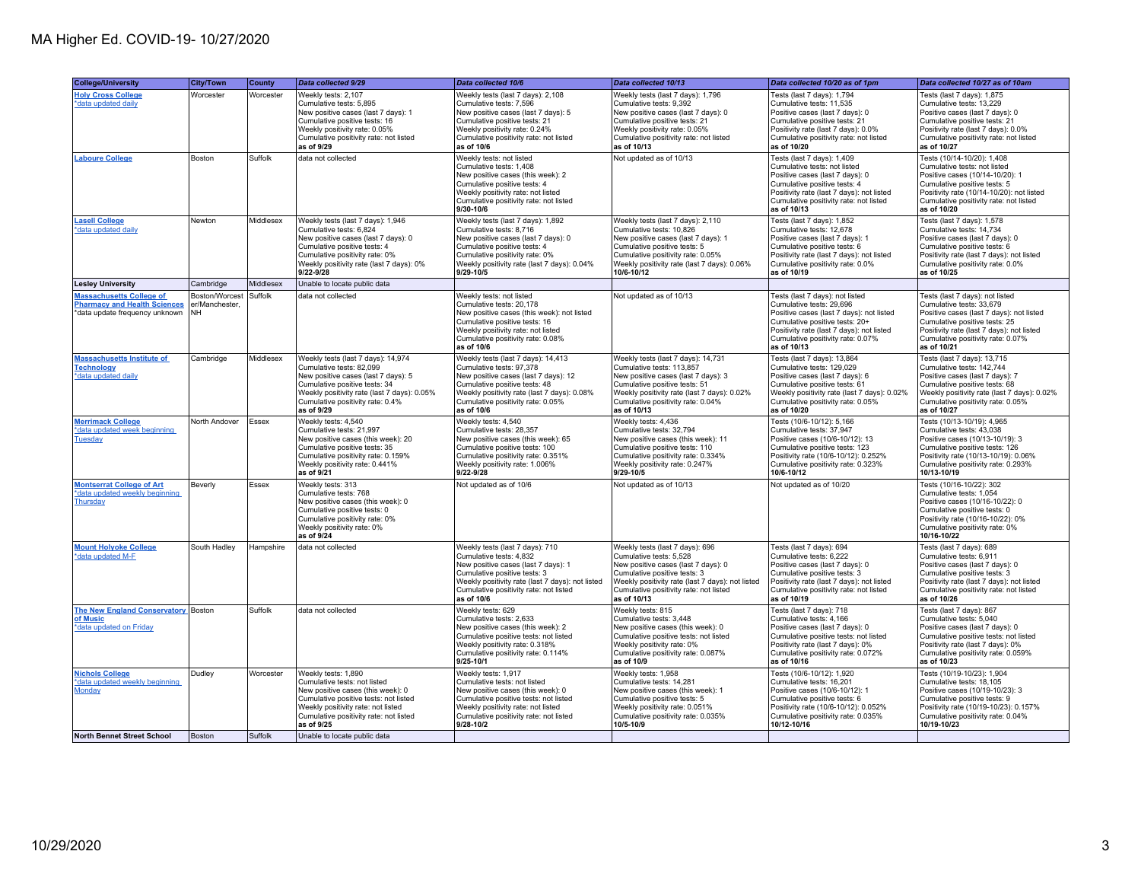| <b>College/University</b>                                                                                | <b>City/Town</b>                              | County    | Data collected 9/29                                                                                                                                                                                                                     | Data collected 10/6                                                                                                                                                                                                                           | Data collected 10/13                                                                                                                                                                                                                           | Data collected 10/20 as of 1pm                                                                                                                                                                                                             | Data collected 10/27 as of 10am                                                                                                                                                                                                           |
|----------------------------------------------------------------------------------------------------------|-----------------------------------------------|-----------|-----------------------------------------------------------------------------------------------------------------------------------------------------------------------------------------------------------------------------------------|-----------------------------------------------------------------------------------------------------------------------------------------------------------------------------------------------------------------------------------------------|------------------------------------------------------------------------------------------------------------------------------------------------------------------------------------------------------------------------------------------------|--------------------------------------------------------------------------------------------------------------------------------------------------------------------------------------------------------------------------------------------|-------------------------------------------------------------------------------------------------------------------------------------------------------------------------------------------------------------------------------------------|
| <b>Holy Cross College</b><br>*data updated daily                                                         | Worcester                                     | Worcester | Weekly tests: 2,107<br>Cumulative tests: 5.895<br>New positive cases (last 7 days): 1<br>Cumulative positive tests: 16<br>Weekly positivity rate: 0.05%<br>Cumulative positivity rate: not listed<br>as of 9/29                         | Weekly tests (last 7 days): 2,108<br>Cumulative tests: 7.596<br>New positive cases (last 7 days): 5<br>Cumulative positive tests: 21<br>Weekly positivity rate: 0.24%<br>Cumulative positivity rate: not listed<br>as of 10/6                 | Weekly tests (last 7 days): 1,796<br>Cumulative tests: 9.392<br>New positive cases (last 7 days): 0<br>Cumulative positive tests: 21<br>Weekly positivity rate: 0.05%<br>Cumulative positivity rate: not listed<br>as of 10/13                 | Tests (last 7 days): 1,794<br>Cumulative tests: 11.535<br>Positive cases (last 7 days): 0<br>Cumulative positive tests: 21<br>Positivity rate (last 7 days): 0.0%<br>Cumulative positivity rate: not listed<br>as of 10/20                 | Tests (last 7 days): 1,875<br>Cumulative tests: 13,229<br>Positive cases (last 7 days): 0<br>Cumulative positive tests: 21<br>Positivity rate (last 7 days): 0.0%<br>Cumulative positivity rate: not listed<br>as of 10/27                |
| <b>Laboure College</b>                                                                                   | Boston                                        | Suffolk   | data not collected                                                                                                                                                                                                                      | Weekly tests: not listed<br>Cumulative tests: 1,408<br>New positive cases (this week): 2<br>Cumulative positive tests: 4<br>Weekly positivity rate: not listed<br>Cumulative positivity rate: not listed<br>9/30-10/6                         | Not updated as of 10/13                                                                                                                                                                                                                        | Tests (last 7 days): 1,409<br>Cumulative tests: not listed<br>Positive cases (last 7 days): 0<br>Cumulative positive tests: 4<br>Positivity rate (last 7 days): not listed<br>Cumulative positivity rate: not listed<br>as of 10/13        | Tests (10/14-10/20): 1,408<br>Cumulative tests: not listed<br>Positive cases (10/14-10/20): 1<br>Cumulative positive tests: 5<br>Positivity rate (10/14-10/20): not listed<br>Cumulative positivity rate: not listed<br>as of 10/20       |
| <b>Lasell College</b><br>*data updated daily                                                             | Newton                                        | Middlesex | Weekly tests (last 7 days): 1,946<br>Cumulative tests: 6,824<br>New positive cases (last 7 days): 0<br>Cumulative positive tests: 4<br>Cumulative positivity rate: 0%<br>Weekly positivity rate (last 7 days): 0%<br>$9/22 - 9/28$      | Weekly tests (last 7 days): 1,892<br>Cumulative tests: 8,716<br>New positive cases (last 7 days): 0<br>Cumulative positive tests: 4<br>Cumulative positivity rate: 0%<br>Weekly positivity rate (last 7 days): 0.04%<br>$9/29 - 10/5$         | Weekly tests (last 7 days): 2,110<br>Cumulative tests: 10,826<br>New positive cases (last 7 days): 1<br>Cumulative positive tests: 5<br>Cumulative positivity rate: 0.05%<br>Weekly positivity rate (last 7 days): 0.06%<br>10/6-10/12         | Tests (last 7 days): 1,852<br>Cumulative tests: 12,678<br>Positive cases (last 7 days): 1<br>Cumulative positive tests: 6<br>Positivity rate (last 7 days): not listed<br>Cumulative positivity rate: 0.0%<br>as of 10/19                  | Tests (last 7 days): 1,578<br>Cumulative tests: 14,734<br>Positive cases (last 7 days): 0<br>Cumulative positive tests: 6<br>Positivity rate (last 7 days): not listed<br>Cumulative positivity rate: 0.0%<br>as of 10/25                 |
| <b>Lesley University</b>                                                                                 | Cambridge                                     | Middlesex | Unable to locate public data                                                                                                                                                                                                            |                                                                                                                                                                                                                                               |                                                                                                                                                                                                                                                |                                                                                                                                                                                                                                            |                                                                                                                                                                                                                                           |
| <b>Massachusetts College of</b><br><b>Pharmacy and Health Sciences</b><br>*data update frequency unknown | Boston/Worcest<br>er/Manchester.<br><b>NH</b> | Suffolk   | data not collected                                                                                                                                                                                                                      | Weekly tests: not listed<br>Cumulative tests: 20,178<br>New positive cases (this week): not listed<br>Cumulative positive tests: 16<br>Weekly positivity rate: not listed<br>Cumulative positivity rate: 0.08%<br>as of 10/6                  | Not updated as of 10/13                                                                                                                                                                                                                        | Tests (last 7 days): not listed<br>Cumulative tests: 29,696<br>Positive cases (last 7 days): not listed<br>Cumulative positive tests: 20+<br>Positivity rate (last 7 days); not listed<br>Cumulative positivity rate: 0.07%<br>as of 10/13 | Tests (last 7 days): not listed<br>Cumulative tests: 33,679<br>Positive cases (last 7 days): not listed<br>Cumulative positive tests: 25<br>Positivity rate (last 7 days); not listed<br>Cumulative positivity rate: 0.07%<br>as of 10/21 |
| <b>Massachusetts Institute of</b><br><b>Technology</b><br>*data updated daily                            | Cambridge                                     | Middlesex | Weekly tests (last 7 days): 14,974<br>Cumulative tests: 82,099<br>New positive cases (last 7 days): 5<br>Cumulative positive tests: 34<br>Weekly positivity rate (last 7 days): 0.05%<br>Cumulative positivity rate: 0.4%<br>as of 9/29 | Weekly tests (last 7 days): 14,413<br>Cumulative tests: 97.378<br>New positive cases (last 7 days): 12<br>Cumulative positive tests: 48<br>Weekly positivity rate (last 7 days): 0.08%<br>Cumulative positivity rate: 0.05%<br>as of 10/6     | Weekly tests (last 7 days): 14,731<br>Cumulative tests: 113,857<br>New positive cases (last 7 days): 3<br>Cumulative positive tests: 51<br>Weekly positivity rate (last 7 days): 0.02%<br>Cumulative positivity rate: 0.04%<br>as of 10/13     | Tests (last 7 days): 13,864<br>Cumulative tests: 129,029<br>Positive cases (last 7 days): 6<br>Cumulative positive tests: 61<br>Weekly positivity rate (last 7 days): 0.02%<br>Cumulative positivity rate: 0.05%<br>as of 10/20            | Tests (last 7 days): 13,715<br>Cumulative tests: 142,744<br>Positive cases (last 7 days): 7<br>Cumulative positive tests: 68<br>Weekly positivity rate (last 7 days): 0.02%<br>Cumulative positivity rate: 0.05%<br>as of 10/27           |
| <b>Merrimack College</b><br>*data updated week beginning<br><b>Tuesday</b>                               | North Andover                                 | Essex     | Weekly tests: 4.540<br>Cumulative tests: 21,997<br>New positive cases (this week): 20<br>Cumulative positive tests: 35<br>Cumulative positivity rate: 0.159%<br>Weekly positivity rate: 0.441%<br>as of 9/21                            | Weekly tests: 4.540<br>Cumulative tests: 28,357<br>New positive cases (this week): 65<br>Cumulative positive tests: 100<br>Cumulative positivity rate: 0.351%<br>Weekly positivity rate: 1.006%<br>$9/22 - 9/28$                              | Weekly tests: 4.436<br>Cumulative tests: 32,794<br>New positive cases (this week): 11<br>Cumulative positive tests: 110<br>Cumulative positivity rate: 0.334%<br>Weekly positivity rate: 0.247%<br>9/29-10/5                                   | Tests (10/6-10/12): 5.166<br>Cumulative tests: 37,947<br>Positive cases (10/6-10/12): 13<br>Cumulative positive tests: 123<br>Positivity rate (10/6-10/12): 0.252%<br>Cumulative positivity rate: 0.323%<br>10/6-10/12                     | Tests (10/13-10/19): 4.965<br>Cumulative tests: 43,038<br>Positive cases (10/13-10/19): 3<br>Cumulative positive tests: 126<br>Positivity rate (10/13-10/19): 0.06%<br>Cumulative positivity rate: 0.293%<br>10/13-10/19                  |
| <b>Montserrat College of Art</b><br>*data updated weekly beginning<br>Thursday                           | Beverly                                       | Essex     | Weekly tests: 313<br>Cumulative tests: 768<br>New positive cases (this week): 0<br>Cumulative positive tests: 0<br>Cumulative positivity rate: 0%<br>Weekly positivity rate: 0%<br>as of 9/24                                           | Not updated as of 10/6                                                                                                                                                                                                                        | Not updated as of 10/13                                                                                                                                                                                                                        | Not updated as of 10/20                                                                                                                                                                                                                    | Tests (10/16-10/22): 302<br>Cumulative tests: 1.054<br>Positive cases (10/16-10/22): 0<br>Cumulative positive tests: 0<br>Positivity rate (10/16-10/22): 0%<br>Cumulative positivity rate: 0%<br>10/16-10/22                              |
| <b>Mount Holyoke College</b><br>*data updated M-F                                                        | South Hadley                                  | Hampshire | data not collected                                                                                                                                                                                                                      | Weekly tests (last 7 days): 710<br>Cumulative tests: 4,832<br>New positive cases (last 7 days): 1<br>Cumulative positive tests: 3<br>Weekly positivity rate (last 7 days): not listed<br>Cumulative positivity rate: not listed<br>as of 10/6 | Weekly tests (last 7 days): 696<br>Cumulative tests: 5,528<br>New positive cases (last 7 days): 0<br>Cumulative positive tests: 3<br>Weekly positivity rate (last 7 days): not listed<br>Cumulative positivity rate: not listed<br>as of 10/13 | Tests (last 7 days): 694<br>Cumulative tests: 6,222<br>Positive cases (last 7 days): 0<br>Cumulative positive tests: 3<br>Positivity rate (last 7 days): not listed<br>Cumulative positivity rate: not listed<br>as of 10/19               | Tests (last 7 days): 689<br>Cumulative tests: 6,911<br>Positive cases (last 7 days): 0<br>Cumulative positive tests: 3<br>Positivity rate (last 7 days): not listed<br>Cumulative positivity rate: not listed<br>as of 10/26              |
| <b>The New England Conservatory</b> Boston<br>of Music<br>*data updated on Friday                        |                                               | Suffolk   | data not collected                                                                                                                                                                                                                      | Weekly tests: 629<br>Cumulative tests: 2,633<br>New positive cases (this week): 2<br>Cumulative positive tests: not listed<br>Weekly positivity rate: 0.318%<br>Cumulative positivity rate: 0.114%<br>$9/25 - 10/1$                           | Weekly tests: 815<br>Cumulative tests: 3,448<br>New positive cases (this week): 0<br>Cumulative positive tests: not listed<br>Weekly positivity rate: 0%<br>Cumulative positivity rate: 0.087%<br>as of 10/9                                   | Tests (last 7 days): 718<br>Cumulative tests: 4,166<br>Positive cases (last 7 days): 0<br>Cumulative positive tests: not listed<br>Positivity rate (last 7 days): 0%<br>Cumulative positivity rate: 0.072%<br>as of 10/16                  | Tests (last 7 days): 867<br>Cumulative tests: 5,040<br>Positive cases (last 7 days): 0<br>Cumulative positive tests: not listed<br>Positivity rate (last 7 days): 0%<br>Cumulative positivity rate: 0.059%<br>as of 10/23                 |
| <b>Nichols College</b><br>*data updated weekly beginning<br><b>Monday</b>                                | Dudley                                        | Worcester | Weekly tests: 1,890<br>Cumulative tests: not listed<br>New positive cases (this week): 0<br>Cumulative positive tests: not listed<br>Weekly positivity rate: not listed<br>Cumulative positivity rate: not listed<br>as of 9/25         | Weekly tests: 1,917<br>Cumulative tests: not listed<br>New positive cases (this week): 0<br>Cumulative positive tests: not listed<br>Weekly positivity rate: not listed<br>Cumulative positivity rate: not listed<br>9/28-10/2                | Weekly tests: 1,958<br>Cumulative tests: 14,281<br>New positive cases (this week): 1<br>Cumulative positive tests: 5<br>Weekly positivity rate: 0.051%<br>Cumulative positivity rate: 0.035%<br>10/5-10/9                                      | Tests (10/6-10/12): 1,920<br>Cumulative tests: 16,201<br>Positive cases (10/6-10/12): 1<br>Cumulative positive tests: 6<br>Positivity rate (10/6-10/12): 0.052%<br>Cumulative positivity rate: 0.035%<br>10/12-10/16                       | Tests (10/19-10/23): 1,904<br>Cumulative tests: 18,105<br>Positive cases (10/19-10/23): 3<br>Cumulative positive tests: 9<br>Positivity rate (10/19-10/23): 0.157%<br>Cumulative positivity rate: 0.04%<br>10/19-10/23                    |
| <b>North Bennet Street School</b>                                                                        | <b>Boston</b>                                 | Suffolk   | Unable to locate public data                                                                                                                                                                                                            |                                                                                                                                                                                                                                               |                                                                                                                                                                                                                                                |                                                                                                                                                                                                                                            |                                                                                                                                                                                                                                           |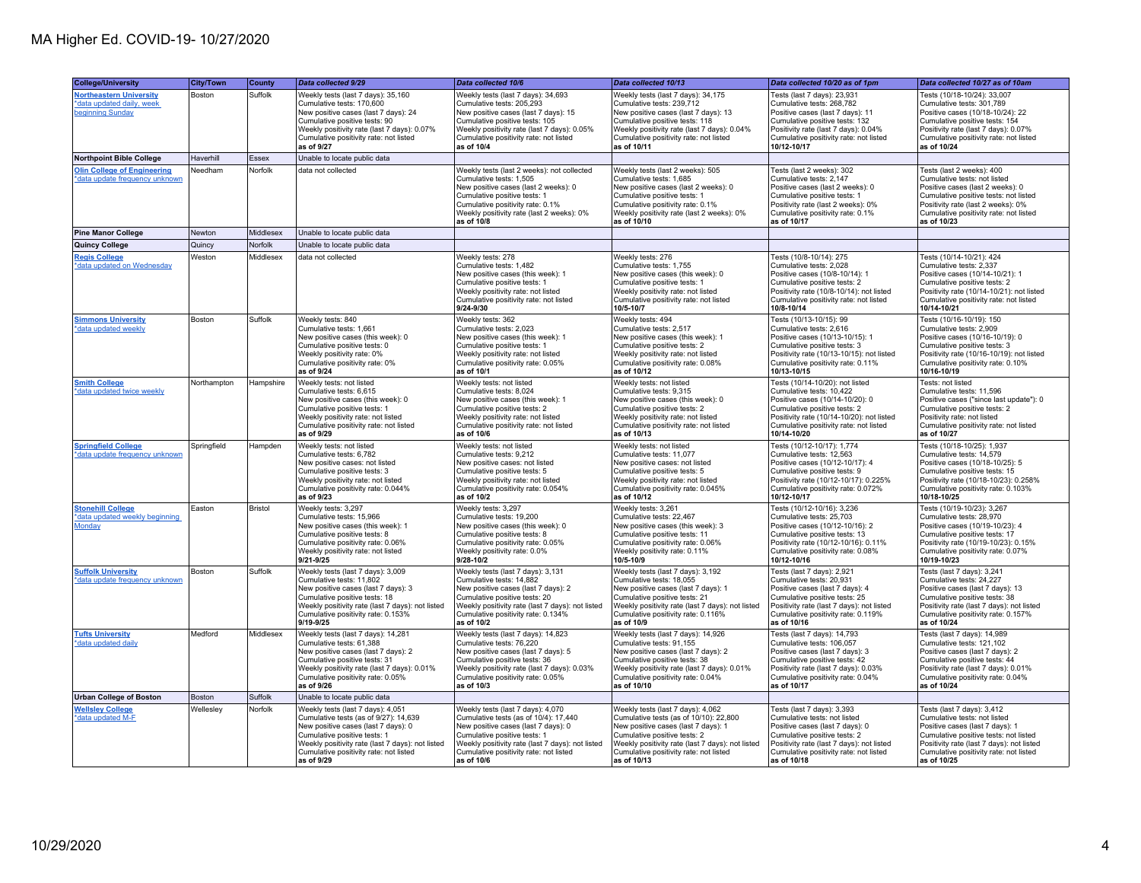| <b>College/University</b>                                                       | City/Town   | County    | Data collected 9/29                                                                                                                                                                                                                                           | Data collected 10/6                                                                                                                                                                                                                                           | Data collected 10/13                                                                                                                                                                                                                                            | Data collected 10/20 as of 1pm                                                                                                                                                                                                       | Data collected 10/27 as of 10am                                                                                                                                                                                                              |
|---------------------------------------------------------------------------------|-------------|-----------|---------------------------------------------------------------------------------------------------------------------------------------------------------------------------------------------------------------------------------------------------------------|---------------------------------------------------------------------------------------------------------------------------------------------------------------------------------------------------------------------------------------------------------------|-----------------------------------------------------------------------------------------------------------------------------------------------------------------------------------------------------------------------------------------------------------------|--------------------------------------------------------------------------------------------------------------------------------------------------------------------------------------------------------------------------------------|----------------------------------------------------------------------------------------------------------------------------------------------------------------------------------------------------------------------------------------------|
| <b>Northeastern University</b><br>*data updated daily, week<br>beginning Sunday | Boston      | Suffolk   | Weekly tests (last 7 days): 35,160<br>Cumulative tests: 170,600<br>New positive cases (last 7 days): 24<br>Cumulative positive tests: 90<br>Weekly positivity rate (last 7 days): 0.07%<br>Cumulative positivity rate: not listed<br>as of 9/27               | Weekly tests (last 7 days): 34,693<br>Cumulative tests: 205,293<br>New positive cases (last 7 days): 15<br>Cumulative positive tests: 105<br>Weekly positivity rate (last 7 days): 0.05%<br>Cumulative positivity rate: not listed<br>as of 10/4              | Weekly tests (last 7 days): 34,175<br>Cumulative tests: 239,712<br>New positive cases (last 7 days): 13<br>Cumulative positive tests: 118<br>Weekly positivity rate (last 7 days): 0.04%<br>Cumulative positivity rate: not listed<br>as of 10/11               | Tests (last 7 days): 23,931<br>Cumulative tests: 268,782<br>Positive cases (last 7 days): 11<br>Cumulative positive tests: 132<br>Positivity rate (last 7 days): 0.04%<br>Cumulative positivity rate: not listed<br>10/12-10/17      | Tests (10/18-10/24): 33,007<br>Cumulative tests: 301,789<br>Positive cases (10/18-10/24): 22<br>Cumulative positive tests: 154<br>Positivity rate (last 7 days): 0.07%<br>Cumulative positivity rate: not listed<br>as of 10/24              |
| <b>Northpoint Bible College</b>                                                 | Haverhill   | Essex     | Unable to locate public data                                                                                                                                                                                                                                  |                                                                                                                                                                                                                                                               |                                                                                                                                                                                                                                                                 |                                                                                                                                                                                                                                      |                                                                                                                                                                                                                                              |
| <b>Olin College of Engineering</b><br>*data update frequency unknown            | Needham     | Norfolk   | data not collected                                                                                                                                                                                                                                            | Weekly tests (last 2 weeks): not collected<br>Cumulative tests: 1.505<br>New positive cases (last 2 weeks): 0<br>Cumulative positive tests: 1<br>Cumulative positivity rate: 0.1%<br>Weekly positivity rate (last 2 weeks): 0%<br>as of 10/8                  | Weekly tests (last 2 weeks): 505<br>Cumulative tests: 1.685<br>New positive cases (last 2 weeks): 0<br>Cumulative positive tests: 1<br>Cumulative positivity rate: 0.1%<br>Weekly positivity rate (last 2 weeks): 0%<br>as of 10/10                             | Tests (last 2 weeks): 302<br>Cumulative tests: 2.147<br>Positive cases (last 2 weeks): 0<br>Cumulative positive tests: 1<br>Positivity rate (last 2 weeks): 0%<br>Cumulative positivity rate: 0.1%<br>as of 10/17                    | Tests (last 2 weeks): 400<br>Cumulative tests: not listed<br>Positive cases (last 2 weeks): 0<br>Cumulative positive tests: not listed<br>Positivity rate (last 2 weeks): 0%<br>Cumulative positivity rate: not listed<br>as of 10/23        |
| <b>Pine Manor College</b>                                                       | Newton      | Middlesex | Unable to locate public data                                                                                                                                                                                                                                  |                                                                                                                                                                                                                                                               |                                                                                                                                                                                                                                                                 |                                                                                                                                                                                                                                      |                                                                                                                                                                                                                                              |
| Quincy College                                                                  | Quincy      | Norfolk   | Unable to locate public data                                                                                                                                                                                                                                  |                                                                                                                                                                                                                                                               |                                                                                                                                                                                                                                                                 |                                                                                                                                                                                                                                      |                                                                                                                                                                                                                                              |
| <b>Regis College</b><br>*data updated on Wednesday                              | Weston      | Middlesex | data not collected                                                                                                                                                                                                                                            | Weekly tests: 278<br>Cumulative tests: 1,482<br>New positive cases (this week): 1<br>Cumulative positive tests: 1<br>Weekly positivity rate: not listed<br>Cumulative positivity rate: not listed<br>9/24-9/30                                                | Weekly tests: 276<br>Cumulative tests: 1,755<br>New positive cases (this week): 0<br>Cumulative positive tests: 1<br>Weekly positivity rate: not listed<br>Cumulative positivity rate: not listed<br>10/5-10/7                                                  | Tests (10/8-10/14): 275<br>Cumulative tests: 2,028<br>Positive cases (10/8-10/14): 1<br>Cumulative positive tests: 2<br>Positivity rate (10/8-10/14): not listed<br>Cumulative positivity rate: not listed<br>10/8-10/14             | Tests (10/14-10/21): 424<br>Cumulative tests: 2,337<br>Positive cases (10/14-10/21): 1<br>Cumulative positive tests: 2<br>Positivity rate (10/14-10/21): not listed<br>Cumulative positivity rate: not listed<br>10/14-10/21                 |
| <b>Simmons University</b><br>*data updated weekly                               | Boston      | Suffolk   | Weekly tests: 840<br>Cumulative tests: 1,661<br>New positive cases (this week): 0<br>Cumulative positive tests: 0<br>Weekly positivity rate: 0%<br>Cumulative positivity rate: 0%<br>as of 9/24                                                               | Weekly tests: 362<br>Cumulative tests: 2,023<br>New positive cases (this week): 1<br>Cumulative positive tests: 1<br>Weekly positivity rate: not listed<br>Cumulative positivity rate: 0.05%<br>as of 10/1                                                    | Weekly tests: 494<br>Cumulative tests: 2,517<br>New positive cases (this week): 1<br>Cumulative positive tests: 2<br>Weekly positivity rate: not listed<br>Cumulative positivity rate: 0.08%<br>as of 10/12                                                     | Tests (10/13-10/15): 99<br>Cumulative tests: 2,616<br>Positive cases (10/13-10/15): 1<br>Cumulative positive tests: 3<br>Positivity rate (10/13-10/15): not listed<br>Cumulative positivity rate: 0.11%<br>10/13-10/15               | Tests (10/16-10/19): 150<br>Cumulative tests: 2,909<br>Positive cases (10/16-10/19): 0<br>Cumulative positive tests: 3<br>Positivity rate (10/16-10/19): not listed<br>Cumulative positivity rate: 0.10%<br>10/16-10/19                      |
| <b>Smith College</b><br>*data updated twice weekly                              | Northampton | Hampshire | Weekly tests: not listed<br>Cumulative tests: 6,615<br>New positive cases (this week): 0<br>Cumulative positive tests: 1<br>Weekly positivity rate: not listed<br>Cumulative positivity rate: not listed<br>as of 9/29                                        | Weekly tests: not listed<br>Cumulative tests: 8,024<br>New positive cases (this week): 1<br>Cumulative positive tests: 2<br>Weekly positivity rate: not listed<br>Cumulative positivity rate: not listed<br>as of 10/6                                        | Weekly tests: not listed<br>Cumulative tests: 9,315<br>New positive cases (this week): 0<br>Cumulative positive tests: 2<br>Weekly positivity rate: not listed<br>Cumulative positivity rate: not listed<br>as of 10/13                                         | Tests (10/14-10/20): not listed<br>Cumulative tests: 10,422<br>Positive cases (10/14-10/20): 0<br>Cumulative positive tests: 2<br>Positivity rate (10/14-10/20): not listed<br>Cumulative positivity rate: not listed<br>10/14-10/20 | Tests: not listed<br>Cumulative tests: 11,596<br>Positive cases ("since last update"): 0<br>Cumulative positive tests: 2<br>Positivity rate: not listed<br>Cumulative positivity rate: not listed<br>as of 10/27                             |
| <b>Springfield College</b><br>*data update frequency unknown                    | Springfield | Hampden   | Weekly tests: not listed<br>Cumulative tests: 6,782<br>New positive cases: not listed<br>Cumulative positive tests: 3<br>Weekly positivity rate: not listed<br>Cumulative positivity rate: 0.044%<br>as of 9/23                                               | Weekly tests: not listed<br>Cumulative tests: 9,212<br>New positive cases: not listed<br>Cumulative positive tests: 5<br>Weekly positivity rate: not listed<br>Cumulative positivity rate: 0.054%<br>as of 10/2                                               | Weekly tests: not listed<br>Cumulative tests: 11,077<br>New positive cases: not listed<br>Cumulative positive tests: 5<br>Weekly positivity rate: not listed<br>Cumulative positivity rate: 0.045%<br>as of 10/12                                               | Tests (10/12-10/17): 1.774<br>Cumulative tests: 12,563<br>Positive cases (10/12-10/17): 4<br>Cumulative positive tests: 9<br>Positivity rate (10/12-10/17): 0.225%<br>Cumulative positivity rate: 0.072%<br>10/12-10/17              | Tests (10/18-10/25): 1.937<br>Cumulative tests: 14,579<br>Positive cases (10/18-10/25): 5<br>Cumulative positive tests: 15<br>Positivity rate (10/18-10/23): 0.258%<br>Cumulative positivity rate: 0.103%<br>10/18-10/25                     |
| <b>Stonehill College</b><br>*data updated weekly beginning<br>Monday            | Easton      | Bristol   | Weekly tests: 3,297<br>Cumulative tests: 15,966<br>New positive cases (this week): 1<br>Cumulative positive tests: 8<br>Cumulative positivity rate: 0.06%<br>Weekly positivity rate: not listed<br>$9/21 - 9/25$                                              | Weekly tests: 3,297<br>Cumulative tests: 19,200<br>New positive cases (this week): 0<br>Cumulative positive tests: 8<br>Cumulative positivity rate: 0.05%<br>Weekly positivity rate: 0.0%<br>$9/28 - 10/2$                                                    | Weekly tests: 3,261<br>Cumulative tests: 22,467<br>New positive cases (this week): 3<br>Cumulative positive tests: 11<br>Cumulative positivity rate: 0.06%<br>Weekly positivity rate: 0.11%<br>10/5-10/9                                                        | Tests (10/12-10/16): 3.236<br>Cumulative tests: 25,703<br>Positive cases (10/12-10/16): 2<br>Cumulative positive tests: 13<br>Positivity rate (10/12-10/16): 0.11%<br>Cumulative positivity rate: 0.08%<br>10/12-10/16               | Tests (10/19-10/23): 3,267<br>Cumulative tests: 28,970<br>Positive cases (10/19-10/23): 4<br>Cumulative positive tests: 17<br>Positivity rate (10/19-10/23): 0.15%<br>Cumulative positivity rate: 0.07%<br>10/19-10/23                       |
| <b>Suffolk University</b><br>*data update frequency unknown                     | Boston      | Suffolk   | Weekly tests (last 7 days): 3,009<br>Cumulative tests: 11,802<br>New positive cases (last 7 days): 3<br>Cumulative positive tests: 18<br>Weekly positivity rate (last 7 days): not listed<br>Cumulative positivity rate: 0.153%<br>9/19-9/25                  | Weekly tests (last 7 days): 3,131<br>Cumulative tests: 14,882<br>New positive cases (last 7 days): 2<br>Cumulative positive tests: 20<br>Weekly positivity rate (last 7 days): not listed<br>Cumulative positivity rate: 0.134%<br>as of 10/2                 | Weekly tests (last 7 days): 3,192<br>Cumulative tests: 18,055<br>New positive cases (last 7 days): 1<br>Cumulative positive tests: 21<br>Weekly positivity rate (last 7 days): not listed<br>Cumulative positivity rate: 0.116%<br>as of 10/9                   | Tests (last 7 days): 2,921<br>Cumulative tests: 20,931<br>Positive cases (last 7 days): 4<br>Cumulative positive tests: 25<br>Positivity rate (last 7 days): not listed<br>Cumulative positivity rate: 0.119%<br>as of 10/16         | Tests (last 7 days): 3,241<br>Cumulative tests: 24,227<br>Positive cases (last 7 days): 13<br>Cumulative positive tests: 38<br>Positivity rate (last 7 days): not listed<br>Cumulative positivity rate: 0.157%<br>as of 10/24                |
| <b>Tufts University</b><br>*data updated daily                                  | Medford     | Middlesex | Weekly tests (last 7 days): 14,281<br>Cumulative tests: 61,388<br>New positive cases (last 7 days): 2<br>Cumulative positive tests: 31<br>Weekly positivity rate (last 7 days): 0.01%<br>Cumulative positivity rate: 0.05%<br>as of 9/26                      | Weekly tests (last 7 days): 14,823<br>Cumulative tests: 76,220<br>New positive cases (last 7 days): 5<br>Cumulative positive tests: 36<br>Weekly positivity rate (last 7 days): 0.03%<br>Cumulative positivity rate: 0.05%<br>as of 10/3                      | Weekly tests (last 7 days): 14,926<br>Cumulative tests: 91,155<br>New positive cases (last 7 days): 2<br>Cumulative positive tests: 38<br>Weekly positivity rate (last 7 days): 0.01%<br>Cumulative positivity rate: 0.04%<br>as of 10/10                       | Tests (last 7 days): 14,793<br>Cumulative tests: 106,057<br>Positive cases (last 7 days): 3<br>Cumulative positive tests: 42<br>Positivity rate (last 7 days): 0.03%<br>Cumulative positivity rate: 0.04%<br>as of 10/17             | Tests (last 7 days): 14,989<br>Cumulative tests: 121,102<br>Positive cases (last 7 days): 2<br>Cumulative positive tests: 44<br>Positivity rate (last 7 days): 0.01%<br>Cumulative positivity rate: 0.04%<br>as of 10/24                     |
| <b>Urban College of Boston</b>                                                  | Boston      | Suffolk   | Unable to locate public data                                                                                                                                                                                                                                  |                                                                                                                                                                                                                                                               |                                                                                                                                                                                                                                                                 |                                                                                                                                                                                                                                      |                                                                                                                                                                                                                                              |
| <b>Wellsley College</b><br>*data updated M-F                                    | Wellesley   | Norfolk   | Weekly tests (last 7 days): 4,051<br>Cumulative tests (as of 9/27): 14,639<br>New positive cases (last 7 days): 0<br>Cumulative positive tests: 1<br>Weekly positivity rate (last 7 days): not listed<br>Cumulative positivity rate: not listed<br>as of 9/29 | Weekly tests (last 7 days): 4,070<br>Cumulative tests (as of 10/4): 17,440<br>New positive cases (last 7 days): 0<br>Cumulative positive tests: 1<br>Weekly positivity rate (last 7 days): not listed<br>Cumulative positivity rate: not listed<br>as of 10/6 | Weekly tests (last 7 days): 4,062<br>Cumulative tests (as of 10/10): 22,800<br>New positive cases (last 7 days): 1<br>Cumulative positive tests: 2<br>Weekly positivity rate (last 7 days): not listed<br>Cumulative positivity rate: not listed<br>as of 10/13 | Tests (last 7 days): 3,393<br>Cumulative tests: not listed<br>Positive cases (last 7 days); 0<br>Cumulative positive tests: 2<br>Positivity rate (last 7 days): not listed<br>Cumulative positivity rate: not listed<br>as of 10/18  | Tests (last 7 days): 3,412<br>Cumulative tests: not listed<br>Positive cases (last 7 days): 1<br>Cumulative positive tests: not listed<br>Positivity rate (last 7 days): not listed<br>Cumulative positivity rate: not listed<br>as of 10/25 |